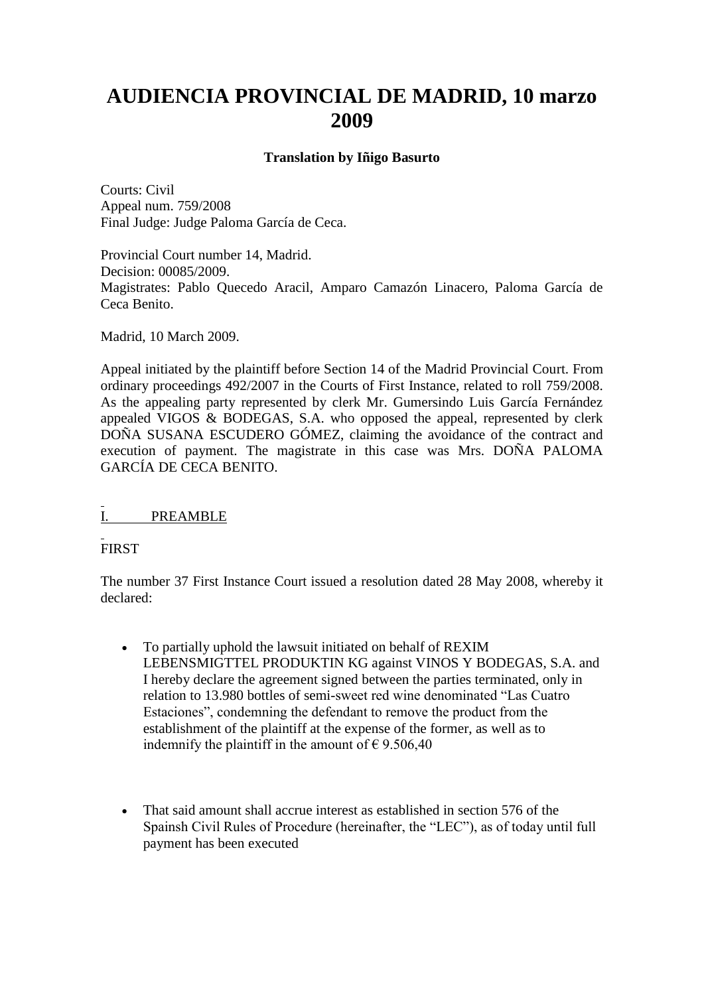# **AUDIENCIA PROVINCIAL DE MADRID, 10 marzo 2009**

#### **Translation by Iñigo Basurto**

Courts: Civil Appeal num. 759/2008 Final Judge: Judge Paloma García de Ceca.

Provincial Court number 14, Madrid. Decision: 00085/2009. Magistrates: Pablo Quecedo Aracil, Amparo Camazón Linacero, Paloma García de Ceca Benito.

Madrid, 10 March 2009.

Appeal initiated by the plaintiff before Section 14 of the Madrid Provincial Court. From ordinary proceedings 492/2007 in the Courts of First Instance, related to roll 759/2008. As the appealing party represented by clerk Mr. Gumersindo Luis García Fernández appealed VIGOS & BODEGAS, S.A. who opposed the appeal, represented by clerk DOÑA SUSANA ESCUDERO GÓMEZ, claiming the avoidance of the contract and execution of payment. The magistrate in this case was Mrs. DOÑA PALOMA GARCÍA DE CECA BENITO.

I. PREAMBLE

FIRST

The number 37 First Instance Court issued a resolution dated 28 May 2008, whereby it declared:

- To partially uphold the lawsuit initiated on behalf of REXIM LEBENSMIGTTEL PRODUKTIN KG against VINOS Y BODEGAS, S.A. and I hereby declare the agreement signed between the parties terminated, only in relation to 13.980 bottles of semi-sweet red wine denominated "Las Cuatro Estaciones", condemning the defendant to remove the product from the establishment of the plaintiff at the expense of the former, as well as to indemnify the plaintiff in the amount of  $\epsilon$  9.506,40
- That said amount shall accrue interest as established in section 576 of the Spainsh Civil Rules of Procedure (hereinafter, the "LEC"), as of today until full payment has been executed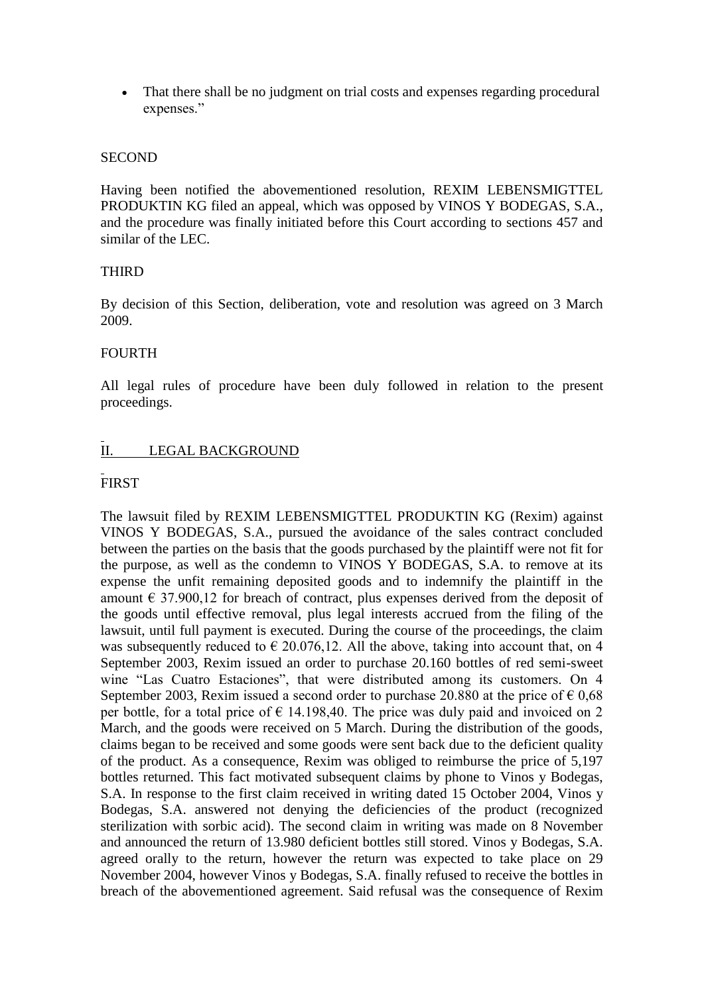• That there shall be no judgment on trial costs and expenses regarding procedural expenses."

#### **SECOND**

Having been notified the abovementioned resolution, REXIM LEBENSMIGTTEL PRODUKTIN KG filed an appeal, which was opposed by VINOS Y BODEGAS, S.A., and the procedure was finally initiated before this Court according to sections 457 and similar of the LEC.

#### THIRD

By decision of this Section, deliberation, vote and resolution was agreed on 3 March 2009.

#### FOURTH

All legal rules of procedure have been duly followed in relation to the present proceedings.

## II. LEGAL BACKGROUND

## FIRST

The lawsuit filed by REXIM LEBENSMIGTTEL PRODUKTIN KG (Rexim) against VINOS Y BODEGAS, S.A., pursued the avoidance of the sales contract concluded between the parties on the basis that the goods purchased by the plaintiff were not fit for the purpose, as well as the condemn to VINOS Y BODEGAS, S.A. to remove at its expense the unfit remaining deposited goods and to indemnify the plaintiff in the amount  $\epsilon$  37.900,12 for breach of contract, plus expenses derived from the deposit of the goods until effective removal, plus legal interests accrued from the filing of the lawsuit, until full payment is executed. During the course of the proceedings, the claim was subsequently reduced to  $\epsilon$  20.076,12. All the above, taking into account that, on 4 September 2003, Rexim issued an order to purchase 20.160 bottles of red semi-sweet wine "Las Cuatro Estaciones", that were distributed among its customers. On 4 September 2003, Rexim issued a second order to purchase 20.880 at the price of  $\epsilon$  0,68 per bottle, for a total price of  $\epsilon$  14.198,40. The price was duly paid and invoiced on 2 March, and the goods were received on 5 March. During the distribution of the goods, claims began to be received and some goods were sent back due to the deficient quality of the product. As a consequence, Rexim was obliged to reimburse the price of 5,197 bottles returned. This fact motivated subsequent claims by phone to Vinos y Bodegas, S.A. In response to the first claim received in writing dated 15 October 2004, Vinos y Bodegas, S.A. answered not denying the deficiencies of the product (recognized sterilization with sorbic acid). The second claim in writing was made on 8 November and announced the return of 13.980 deficient bottles still stored. Vinos y Bodegas, S.A. agreed orally to the return, however the return was expected to take place on 29 November 2004, however Vinos y Bodegas, S.A. finally refused to receive the bottles in breach of the abovementioned agreement. Said refusal was the consequence of Rexim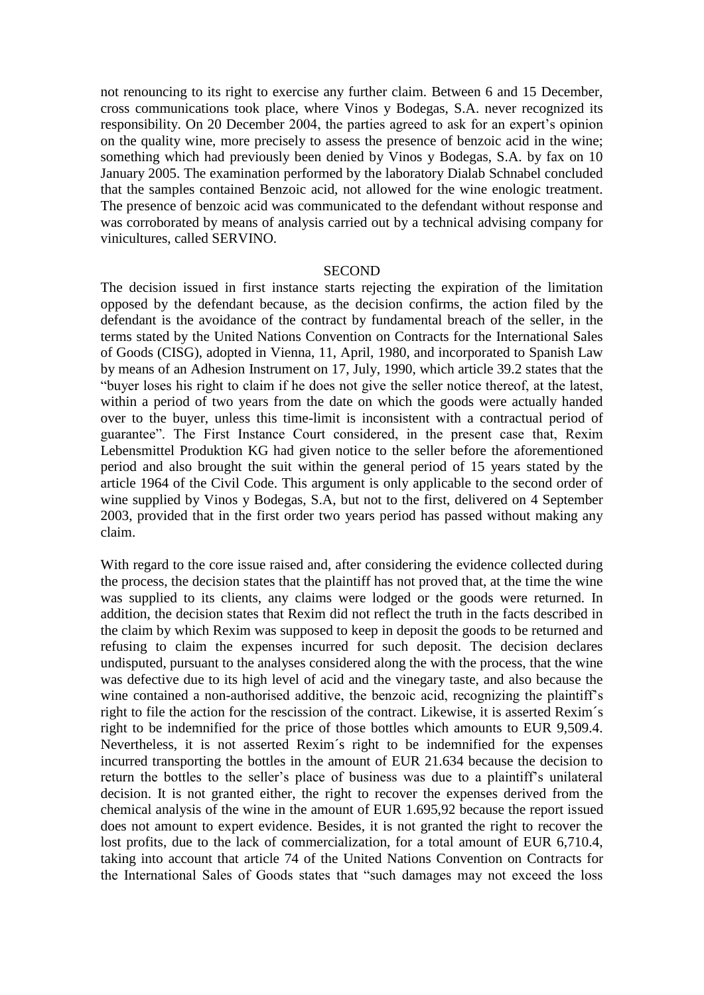not renouncing to its right to exercise any further claim. Between 6 and 15 December, cross communications took place, where Vinos y Bodegas, S.A. never recognized its responsibility. On 20 December 2004, the parties agreed to ask for an expert's opinion on the quality wine, more precisely to assess the presence of benzoic acid in the wine; something which had previously been denied by Vinos y Bodegas, S.A. by fax on 10 January 2005. The examination performed by the laboratory Dialab Schnabel concluded that the samples contained Benzoic acid, not allowed for the wine enologic treatment. The presence of benzoic acid was communicated to the defendant without response and was corroborated by means of analysis carried out by a technical advising company for vinicultures, called SERVINO.

#### **SECOND**

The decision issued in first instance starts rejecting the expiration of the limitation opposed by the defendant because, as the decision confirms, the action filed by the defendant is the avoidance of the contract by fundamental breach of the seller, in the terms stated by the United Nations Convention on Contracts for the International Sales of Goods (CISG), adopted in Vienna, 11, April, 1980, and incorporated to Spanish Law by means of an Adhesion Instrument on 17, July, 1990, which article 39.2 states that the "buyer loses his right to claim if he does not give the seller notice thereof, at the latest, within a period of two years from the date on which the goods were actually handed over to the buyer, unless this time-limit is inconsistent with a contractual period of guarantee". The First Instance Court considered, in the present case that, Rexim Lebensmittel Produktion KG had given notice to the seller before the aforementioned period and also brought the suit within the general period of 15 years stated by the article 1964 of the Civil Code. This argument is only applicable to the second order of wine supplied by Vinos y Bodegas, S.A, but not to the first, delivered on 4 September 2003, provided that in the first order two years period has passed without making any claim.

With regard to the core issue raised and, after considering the evidence collected during the process, the decision states that the plaintiff has not proved that, at the time the wine was supplied to its clients, any claims were lodged or the goods were returned. In addition, the decision states that Rexim did not reflect the truth in the facts described in the claim by which Rexim was supposed to keep in deposit the goods to be returned and refusing to claim the expenses incurred for such deposit. The decision declares undisputed, pursuant to the analyses considered along the with the process, that the wine was defective due to its high level of acid and the vinegary taste, and also because the wine contained a non-authorised additive, the benzoic acid, recognizing the plaintiff's right to file the action for the rescission of the contract. Likewise, it is asserted Rexim´s right to be indemnified for the price of those bottles which amounts to EUR 9,509.4. Nevertheless, it is not asserted Rexim´s right to be indemnified for the expenses incurred transporting the bottles in the amount of EUR 21.634 because the decision to return the bottles to the seller's place of business was due to a plaintiff's unilateral decision. It is not granted either, the right to recover the expenses derived from the chemical analysis of the wine in the amount of EUR 1.695,92 because the report issued does not amount to expert evidence. Besides, it is not granted the right to recover the lost profits, due to the lack of commercialization, for a total amount of EUR 6,710.4, taking into account that article 74 of the United Nations Convention on Contracts for the International Sales of Goods states that "such damages may not exceed the loss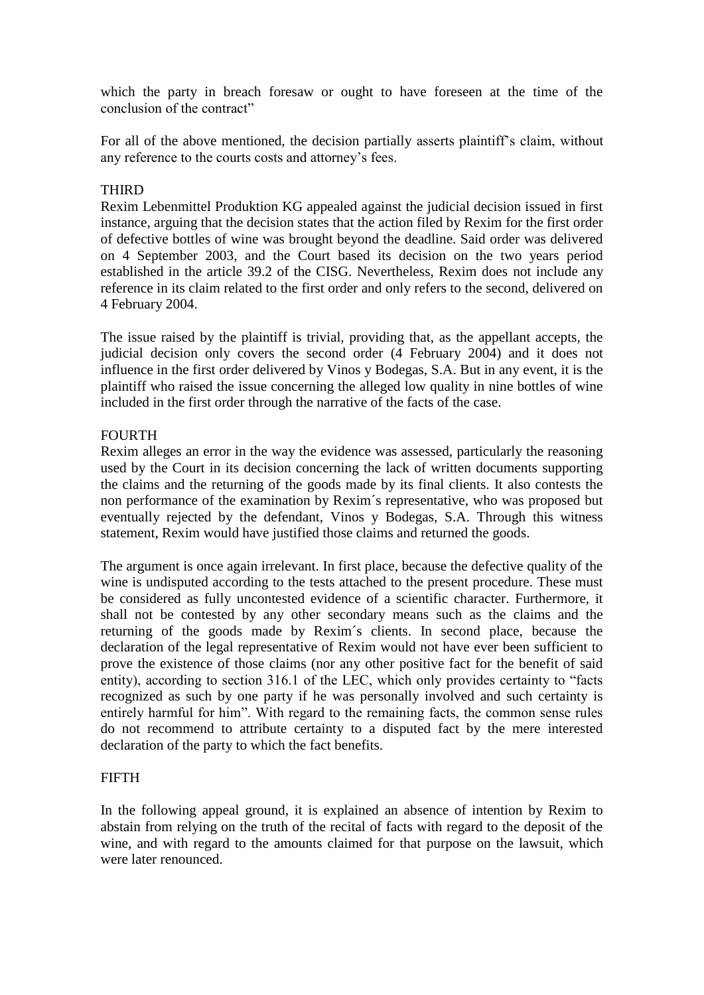which the party in breach foresaw or ought to have foreseen at the time of the conclusion of the contract"

For all of the above mentioned, the decision partially asserts plaintiff's claim, without any reference to the courts costs and attorney's fees.

#### **THIRD**

Rexim Lebenmittel Produktion KG appealed against the judicial decision issued in first instance, arguing that the decision states that the action filed by Rexim for the first order of defective bottles of wine was brought beyond the deadline. Said order was delivered on 4 September 2003, and the Court based its decision on the two years period established in the article 39.2 of the CISG. Nevertheless, Rexim does not include any reference in its claim related to the first order and only refers to the second, delivered on 4 February 2004.

The issue raised by the plaintiff is trivial, providing that, as the appellant accepts, the judicial decision only covers the second order (4 February 2004) and it does not influence in the first order delivered by Vinos y Bodegas, S.A. But in any event, it is the plaintiff who raised the issue concerning the alleged low quality in nine bottles of wine included in the first order through the narrative of the facts of the case.

#### **FOURTH**

Rexim alleges an error in the way the evidence was assessed, particularly the reasoning used by the Court in its decision concerning the lack of written documents supporting the claims and the returning of the goods made by its final clients. It also contests the non performance of the examination by Rexim´s representative, who was proposed but eventually rejected by the defendant, Vinos y Bodegas, S.A. Through this witness statement, Rexim would have justified those claims and returned the goods.

The argument is once again irrelevant. In first place, because the defective quality of the wine is undisputed according to the tests attached to the present procedure. These must be considered as fully uncontested evidence of a scientific character. Furthermore, it shall not be contested by any other secondary means such as the claims and the returning of the goods made by Rexim´s clients. In second place, because the declaration of the legal representative of Rexim would not have ever been sufficient to prove the existence of those claims (nor any other positive fact for the benefit of said entity), according to section 316.1 of the LEC, which only provides certainty to "facts" recognized as such by one party if he was personally involved and such certainty is entirely harmful for him". With regard to the remaining facts, the common sense rules do not recommend to attribute certainty to a disputed fact by the mere interested declaration of the party to which the fact benefits.

#### **FIFTH**

In the following appeal ground, it is explained an absence of intention by Rexim to abstain from relying on the truth of the recital of facts with regard to the deposit of the wine, and with regard to the amounts claimed for that purpose on the lawsuit, which were later renounced.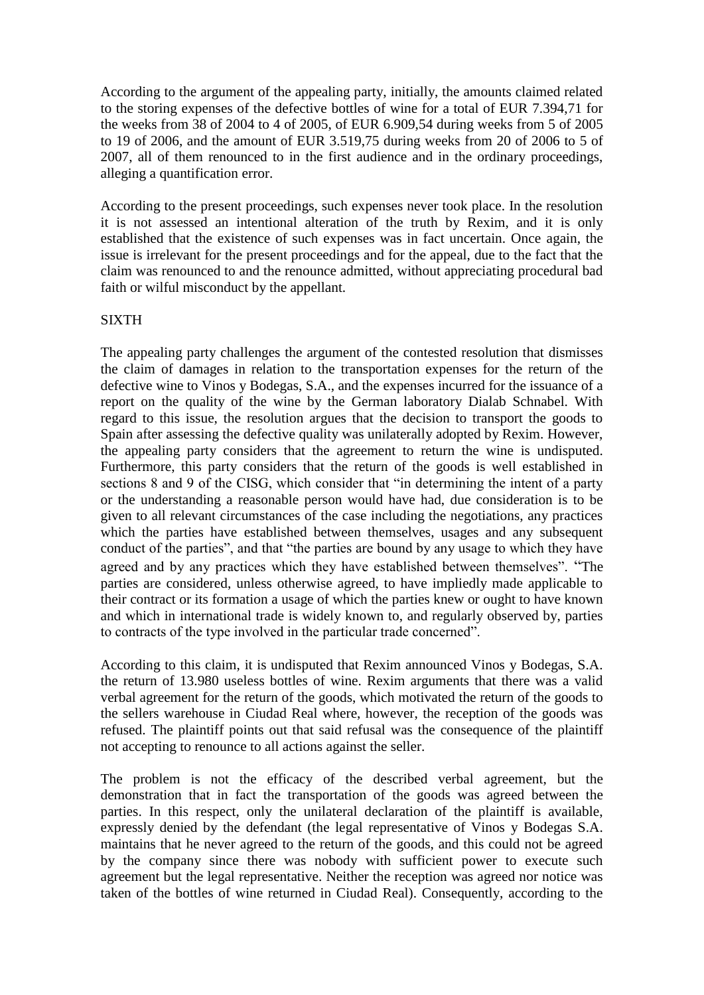According to the argument of the appealing party, initially, the amounts claimed related to the storing expenses of the defective bottles of wine for a total of EUR 7.394,71 for the weeks from 38 of 2004 to 4 of 2005, of EUR 6.909,54 during weeks from 5 of 2005 to 19 of 2006, and the amount of EUR 3.519,75 during weeks from 20 of 2006 to 5 of 2007, all of them renounced to in the first audience and in the ordinary proceedings, alleging a quantification error.

According to the present proceedings, such expenses never took place. In the resolution it is not assessed an intentional alteration of the truth by Rexim, and it is only established that the existence of such expenses was in fact uncertain. Once again, the issue is irrelevant for the present proceedings and for the appeal, due to the fact that the claim was renounced to and the renounce admitted, without appreciating procedural bad faith or wilful misconduct by the appellant.

#### SIXTH

The appealing party challenges the argument of the contested resolution that dismisses the claim of damages in relation to the transportation expenses for the return of the defective wine to Vinos y Bodegas, S.A., and the expenses incurred for the issuance of a report on the quality of the wine by the German laboratory Dialab Schnabel. With regard to this issue, the resolution argues that the decision to transport the goods to Spain after assessing the defective quality was unilaterally adopted by Rexim. However, the appealing party considers that the agreement to return the wine is undisputed. Furthermore, this party considers that the return of the goods is well established in sections 8 and 9 of the CISG, which consider that "in determining the intent of a party or the understanding a reasonable person would have had, due consideration is to be given to all relevant circumstances of the case including the negotiations, any practices which the parties have established between themselves, usages and any subsequent conduct of the parties", and that "the parties are bound by any usage to which they have agreed and by any practices which they have established between themselves". "The parties are considered, unless otherwise agreed, to have impliedly made applicable to their contract or its formation a usage of which the parties knew or ought to have known and which in international trade is widely known to, and regularly observed by, parties to contracts of the type involved in the particular trade concerned".

According to this claim, it is undisputed that Rexim announced Vinos y Bodegas, S.A. the return of 13.980 useless bottles of wine. Rexim arguments that there was a valid verbal agreement for the return of the goods, which motivated the return of the goods to the sellers warehouse in Ciudad Real where, however, the reception of the goods was refused. The plaintiff points out that said refusal was the consequence of the plaintiff not accepting to renounce to all actions against the seller.

The problem is not the efficacy of the described verbal agreement, but the demonstration that in fact the transportation of the goods was agreed between the parties. In this respect, only the unilateral declaration of the plaintiff is available, expressly denied by the defendant (the legal representative of Vinos y Bodegas S.A. maintains that he never agreed to the return of the goods, and this could not be agreed by the company since there was nobody with sufficient power to execute such agreement but the legal representative. Neither the reception was agreed nor notice was taken of the bottles of wine returned in Ciudad Real). Consequently, according to the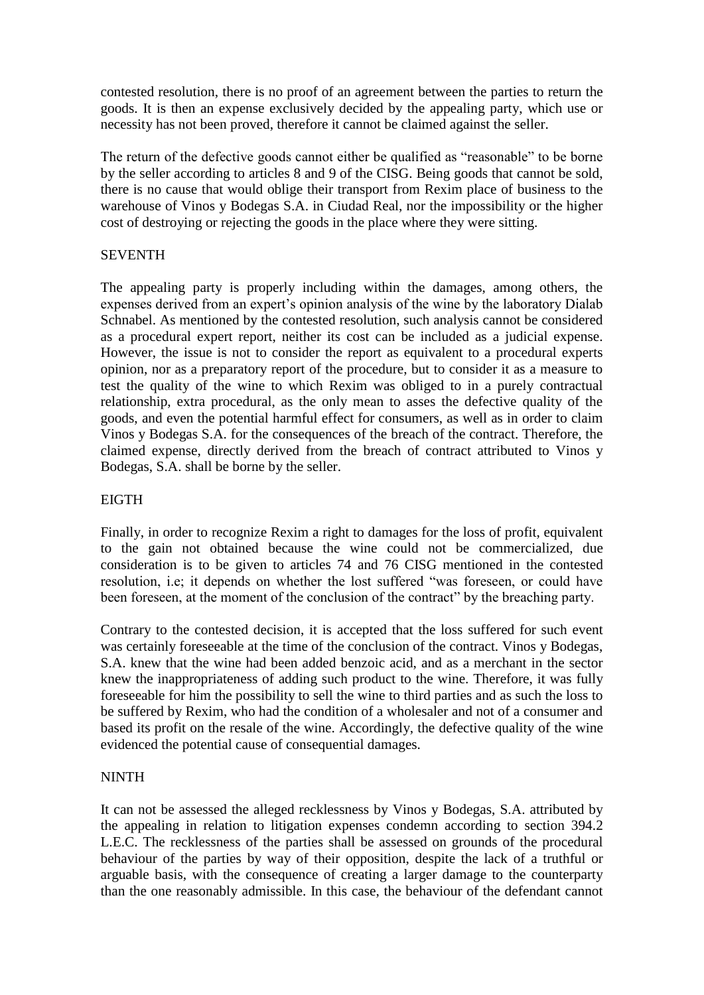contested resolution, there is no proof of an agreement between the parties to return the goods. It is then an expense exclusively decided by the appealing party, which use or necessity has not been proved, therefore it cannot be claimed against the seller.

The return of the defective goods cannot either be qualified as "reasonable" to be borne by the seller according to articles 8 and 9 of the CISG. Being goods that cannot be sold, there is no cause that would oblige their transport from Rexim place of business to the warehouse of Vinos y Bodegas S.A. in Ciudad Real, nor the impossibility or the higher cost of destroying or rejecting the goods in the place where they were sitting.

### **SEVENTH**

The appealing party is properly including within the damages, among others, the expenses derived from an expert's opinion analysis of the wine by the laboratory Dialab Schnabel. As mentioned by the contested resolution, such analysis cannot be considered as a procedural expert report, neither its cost can be included as a judicial expense. However, the issue is not to consider the report as equivalent to a procedural experts opinion, nor as a preparatory report of the procedure, but to consider it as a measure to test the quality of the wine to which Rexim was obliged to in a purely contractual relationship, extra procedural, as the only mean to asses the defective quality of the goods, and even the potential harmful effect for consumers, as well as in order to claim Vinos y Bodegas S.A. for the consequences of the breach of the contract. Therefore, the claimed expense, directly derived from the breach of contract attributed to Vinos y Bodegas, S.A. shall be borne by the seller.

#### **EIGTH**

Finally, in order to recognize Rexim a right to damages for the loss of profit, equivalent to the gain not obtained because the wine could not be commercialized, due consideration is to be given to articles 74 and 76 CISG mentioned in the contested resolution, i.e; it depends on whether the lost suffered "was foreseen, or could have been foreseen, at the moment of the conclusion of the contract" by the breaching party.

Contrary to the contested decision, it is accepted that the loss suffered for such event was certainly foreseeable at the time of the conclusion of the contract. Vinos y Bodegas, S.A. knew that the wine had been added benzoic acid, and as a merchant in the sector knew the inappropriateness of adding such product to the wine. Therefore, it was fully foreseeable for him the possibility to sell the wine to third parties and as such the loss to be suffered by Rexim, who had the condition of a wholesaler and not of a consumer and based its profit on the resale of the wine. Accordingly, the defective quality of the wine evidenced the potential cause of consequential damages.

### NINTH

It can not be assessed the alleged recklessness by Vinos y Bodegas, S.A. attributed by the appealing in relation to litigation expenses condemn according to section 394.2 L.E.C. The recklessness of the parties shall be assessed on grounds of the procedural behaviour of the parties by way of their opposition, despite the lack of a truthful or arguable basis, with the consequence of creating a larger damage to the counterparty than the one reasonably admissible. In this case, the behaviour of the defendant cannot